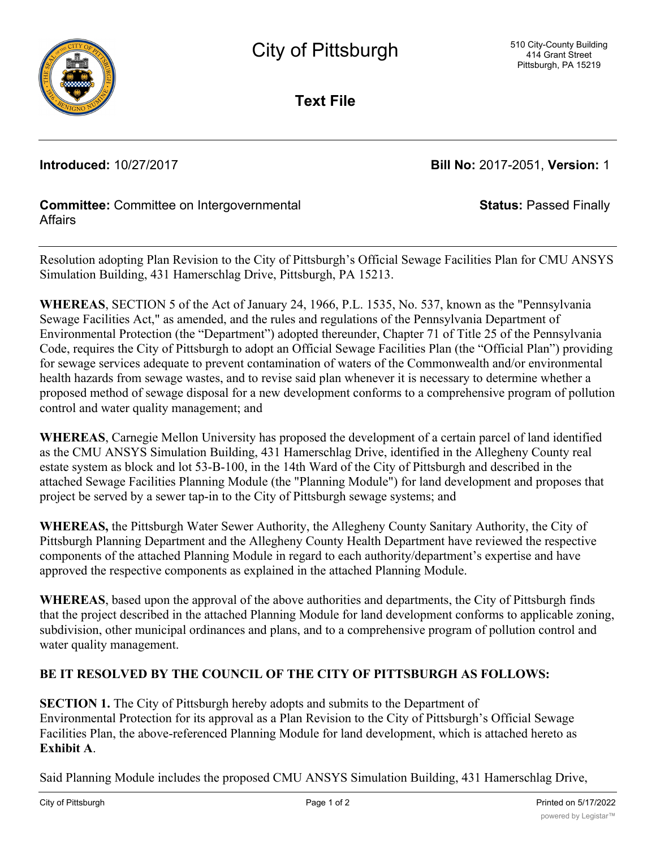

**Text File**

**Introduced:** 10/27/2017 **Bill No:** 2017-2051, **Version:** 1

**Status:** Passed Finally

## **Committee:** Committee on Intergovernmental **Affairs**

Resolution adopting Plan Revision to the City of Pittsburgh's Official Sewage Facilities Plan for CMU ANSYS Simulation Building, 431 Hamerschlag Drive, Pittsburgh, PA 15213.

**WHEREAS**, SECTION 5 of the Act of January 24, 1966, P.L. 1535, No. 537, known as the "Pennsylvania Sewage Facilities Act," as amended, and the rules and regulations of the Pennsylvania Department of Environmental Protection (the "Department") adopted thereunder, Chapter 71 of Title 25 of the Pennsylvania Code, requires the City of Pittsburgh to adopt an Official Sewage Facilities Plan (the "Official Plan") providing for sewage services adequate to prevent contamination of waters of the Commonwealth and/or environmental health hazards from sewage wastes, and to revise said plan whenever it is necessary to determine whether a proposed method of sewage disposal for a new development conforms to a comprehensive program of pollution control and water quality management; and

**WHEREAS**, Carnegie Mellon University has proposed the development of a certain parcel of land identified as the CMU ANSYS Simulation Building, 431 Hamerschlag Drive, identified in the Allegheny County real estate system as block and lot 53-B-100, in the 14th Ward of the City of Pittsburgh and described in the attached Sewage Facilities Planning Module (the "Planning Module") for land development and proposes that project be served by a sewer tap-in to the City of Pittsburgh sewage systems; and

**WHEREAS,** the Pittsburgh Water Sewer Authority, the Allegheny County Sanitary Authority, the City of Pittsburgh Planning Department and the Allegheny County Health Department have reviewed the respective components of the attached Planning Module in regard to each authority/department's expertise and have approved the respective components as explained in the attached Planning Module.

**WHEREAS**, based upon the approval of the above authorities and departments, the City of Pittsburgh finds that the project described in the attached Planning Module for land development conforms to applicable zoning, subdivision, other municipal ordinances and plans, and to a comprehensive program of pollution control and water quality management.

# **BE IT RESOLVED BY THE COUNCIL OF THE CITY OF PITTSBURGH AS FOLLOWS:**

**SECTION 1.** The City of Pittsburgh hereby adopts and submits to the Department of Environmental Protection for its approval as a Plan Revision to the City of Pittsburgh's Official Sewage Facilities Plan, the above-referenced Planning Module for land development, which is attached hereto as **Exhibit A**.

Said Planning Module includes the proposed CMU ANSYS Simulation Building, 431 Hamerschlag Drive,